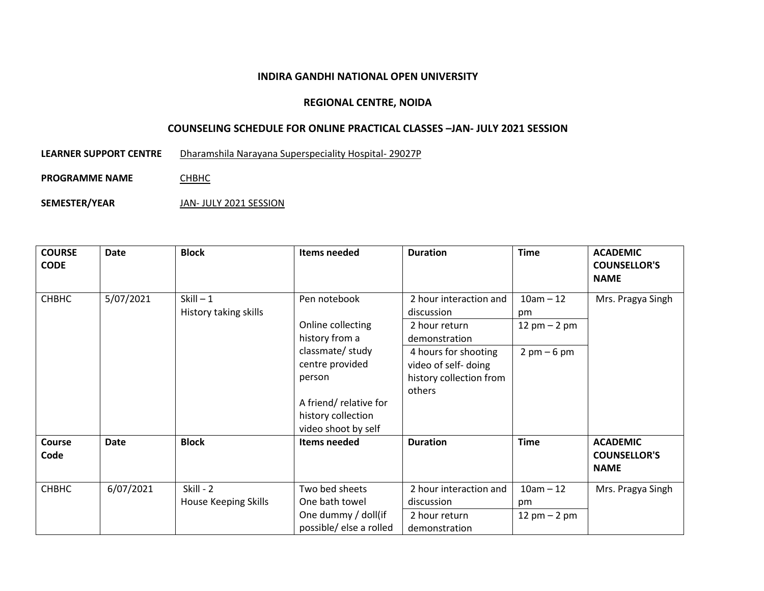## **INDIRA GANDHI NATIONAL OPEN UNIVERSITY**

## **REGIONAL CENTRE, NOIDA**

## **COUNSELING SCHEDULE FOR ONLINE PRACTICAL CLASSES –JAN- JULY 2021 SESSION**

**LEARNER SUPPORT CENTRE** Dharamshila Narayana Superspeciality Hospital- 29027P

**PROGRAMME NAME CHBHC** 

**SEMESTER/YEAR** JAN- JULY 2021 SESSION

| <b>COURSE</b><br><b>CODE</b> | <b>Date</b> | <b>Block</b>                             | Items needed                                                                                                                                                              | <b>Duration</b>                                                                                                                                             | <b>Time</b>                                                          | <b>ACADEMIC</b><br><b>COUNSELLOR'S</b><br><b>NAME</b> |
|------------------------------|-------------|------------------------------------------|---------------------------------------------------------------------------------------------------------------------------------------------------------------------------|-------------------------------------------------------------------------------------------------------------------------------------------------------------|----------------------------------------------------------------------|-------------------------------------------------------|
| СНВНС                        | 5/07/2021   | $Skill - 1$<br>History taking skills     | Pen notebook<br>Online collecting<br>history from a<br>classmate/study<br>centre provided<br>person<br>A friend/relative for<br>history collection<br>video shoot by self | 2 hour interaction and<br>discussion<br>2 hour return<br>demonstration<br>4 hours for shooting<br>video of self- doing<br>history collection from<br>others | $10am - 12$<br>pm<br>12 $pm - 2 pm$<br>$2 \text{ pm} - 6 \text{ pm}$ | Mrs. Pragya Singh                                     |
| <b>Course</b><br>Code        | <b>Date</b> | <b>Block</b>                             | Items needed                                                                                                                                                              | <b>Duration</b>                                                                                                                                             | <b>Time</b>                                                          | <b>ACADEMIC</b><br><b>COUNSELLOR'S</b><br><b>NAME</b> |
| СНВНС                        | 6/07/2021   | Skill - 2<br><b>House Keeping Skills</b> | Two bed sheets<br>One bath towel<br>One dummy / doll(if<br>possible/ else a rolled                                                                                        | 2 hour interaction and<br>discussion<br>2 hour return<br>demonstration                                                                                      | $10am - 12$<br>pm<br>$12 \text{ pm} - 2 \text{ pm}$                  | Mrs. Pragya Singh                                     |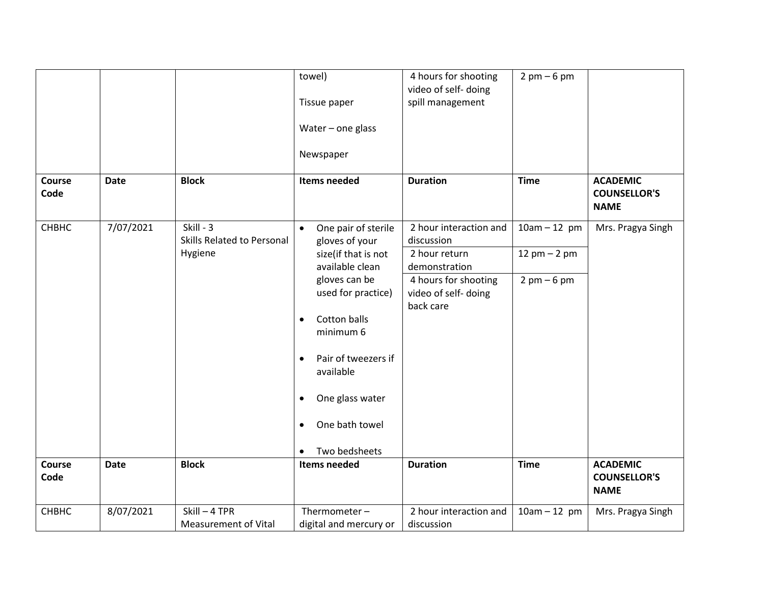| Course         | <b>Date</b> | <b>Block</b>                                       | towel)<br>Tissue paper<br>Water - one glass<br>Newspaper<br>Items needed                     | 4 hours for shooting<br>video of self- doing<br>spill management<br><b>Duration</b> | $2$ pm $-6$ pm<br><b>Time</b>    | <b>ACADEMIC</b>                                       |
|----------------|-------------|----------------------------------------------------|----------------------------------------------------------------------------------------------|-------------------------------------------------------------------------------------|----------------------------------|-------------------------------------------------------|
| Code           |             |                                                    |                                                                                              |                                                                                     |                                  | <b>COUNSELLOR'S</b><br><b>NAME</b>                    |
| <b>CHBHC</b>   | 7/07/2021   | Skill - 3<br>Skills Related to Personal<br>Hygiene | One pair of sterile<br>$\bullet$<br>gloves of your<br>size(if that is not<br>available clean | 2 hour interaction and<br>discussion<br>2 hour return<br>demonstration              | $10am - 12 pm$<br>12 $pm - 2 pm$ | Mrs. Pragya Singh                                     |
|                |             |                                                    | gloves can be<br>used for practice)                                                          | 4 hours for shooting<br>video of self- doing<br>back care                           | $2$ pm $-6$ pm                   |                                                       |
|                |             |                                                    | Cotton balls<br>$\bullet$<br>minimum 6                                                       |                                                                                     |                                  |                                                       |
|                |             |                                                    | Pair of tweezers if<br>$\bullet$<br>available                                                |                                                                                     |                                  |                                                       |
|                |             |                                                    | One glass water<br>$\bullet$<br>One bath towel<br>$\bullet$                                  |                                                                                     |                                  |                                                       |
|                |             |                                                    | Two bedsheets                                                                                |                                                                                     |                                  |                                                       |
| Course<br>Code | <b>Date</b> | <b>Block</b>                                       | <b>Items needed</b>                                                                          | <b>Duration</b>                                                                     | <b>Time</b>                      | <b>ACADEMIC</b><br><b>COUNSELLOR'S</b><br><b>NAME</b> |
| <b>CHBHC</b>   | 8/07/2021   | Skill-4 TPR<br><b>Measurement of Vital</b>         | Thermometer $-$<br>digital and mercury or                                                    | 2 hour interaction and<br>discussion                                                | $10am - 12 pm$                   | Mrs. Pragya Singh                                     |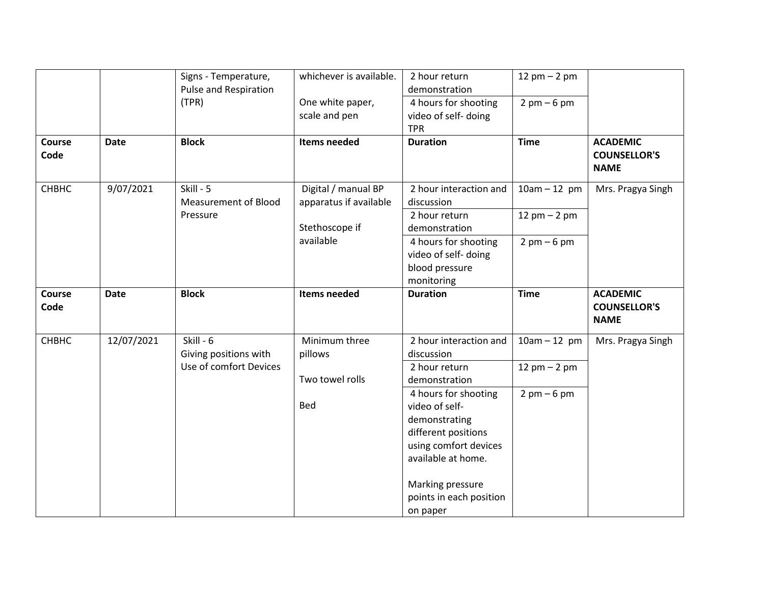|             | Signs - Temperature,                     | whichever is available.                       | 2 hour return                                                                                                                                        | 12 pm $-$ 2 pm                                                                                     |                                                                |
|-------------|------------------------------------------|-----------------------------------------------|------------------------------------------------------------------------------------------------------------------------------------------------------|----------------------------------------------------------------------------------------------------|----------------------------------------------------------------|
|             |                                          |                                               |                                                                                                                                                      |                                                                                                    |                                                                |
|             |                                          |                                               |                                                                                                                                                      |                                                                                                    |                                                                |
|             |                                          |                                               |                                                                                                                                                      |                                                                                                    |                                                                |
| <b>Date</b> | <b>Block</b>                             | Items needed                                  | <b>Duration</b>                                                                                                                                      | <b>Time</b>                                                                                        | <b>ACADEMIC</b><br><b>COUNSELLOR'S</b><br><b>NAME</b>          |
| 9/07/2021   | Skill - 5<br><b>Measurement of Blood</b> | Digital / manual BP<br>apparatus if available | 2 hour interaction and<br>discussion                                                                                                                 | $10am - 12 pm$                                                                                     | Mrs. Pragya Singh                                              |
|             | Pressure                                 | Stethoscope if                                | 2 hour return<br>demonstration                                                                                                                       | 12 $pm - 2 pm$                                                                                     |                                                                |
|             |                                          | available                                     | 4 hours for shooting<br>video of self- doing<br>blood pressure<br>monitoring                                                                         | $2 \text{ pm} - 6 \text{ pm}$                                                                      |                                                                |
| <b>Date</b> | <b>Block</b>                             | Items needed                                  | <b>Duration</b>                                                                                                                                      | <b>Time</b>                                                                                        | <b>ACADEMIC</b><br><b>COUNSELLOR'S</b><br><b>NAME</b>          |
| 12/07/2021  | Skill - 6<br>Giving positions with       | Minimum three<br>pillows                      | 2 hour interaction and<br>discussion                                                                                                                 | $10am - 12 pm$                                                                                     | Mrs. Pragya Singh                                              |
|             | Use of comfort Devices                   | Two towel rolls                               | 2 hour return<br>demonstration                                                                                                                       | 12 pm $-$ 2 pm                                                                                     |                                                                |
|             |                                          | Bed                                           | video of self-<br>demonstrating<br>different positions<br>using comfort devices<br>available at home.<br>Marking pressure<br>points in each position |                                                                                                    |                                                                |
|             |                                          | <b>Pulse and Respiration</b><br>(TPR)         | One white paper,<br>scale and pen                                                                                                                    | demonstration<br>4 hours for shooting<br>video of self-doing<br><b>TPR</b><br>4 hours for shooting | $2 \text{ pm} - 6 \text{ pm}$<br>$2 \text{ pm} - 6 \text{ pm}$ |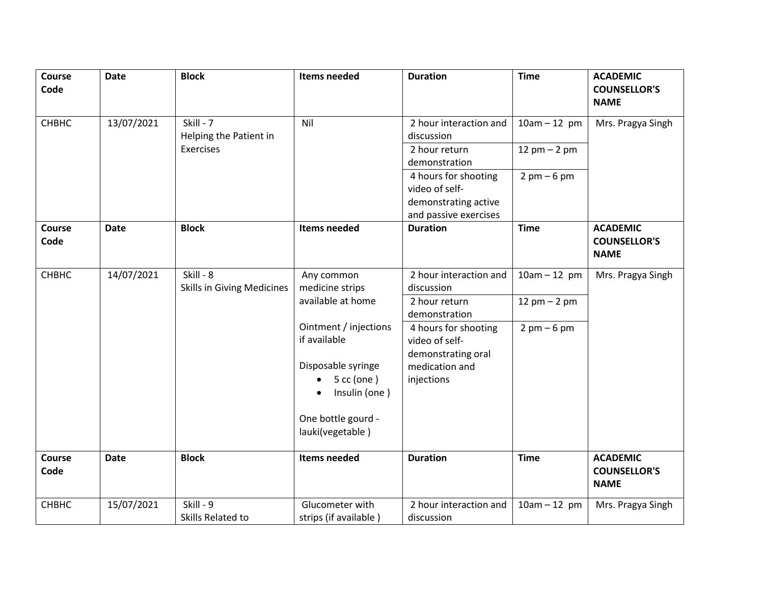| Course<br>Code        | <b>Date</b> | <b>Block</b>                      | Items needed          | <b>Duration</b>        | <b>Time</b>                   | <b>ACADEMIC</b><br><b>COUNSELLOR'S</b><br><b>NAME</b> |
|-----------------------|-------------|-----------------------------------|-----------------------|------------------------|-------------------------------|-------------------------------------------------------|
| CHBHC                 | 13/07/2021  | Skill - 7                         | Nil                   | 2 hour interaction and | $10am - 12 pm$                | Mrs. Pragya Singh                                     |
|                       |             | Helping the Patient in            |                       | discussion             |                               |                                                       |
|                       |             | <b>Exercises</b>                  |                       | 2 hour return          | 12 pm $-$ 2 pm                |                                                       |
|                       |             |                                   |                       | demonstration          |                               |                                                       |
|                       |             |                                   |                       | 4 hours for shooting   | $2 \text{ pm} - 6 \text{ pm}$ |                                                       |
|                       |             |                                   |                       | video of self-         |                               |                                                       |
|                       |             |                                   |                       | demonstrating active   |                               |                                                       |
|                       |             |                                   |                       | and passive exercises  |                               |                                                       |
| <b>Course</b><br>Code | <b>Date</b> | <b>Block</b>                      | Items needed          | <b>Duration</b>        | <b>Time</b>                   | <b>ACADEMIC</b><br><b>COUNSELLOR'S</b><br><b>NAME</b> |
| CHBHC                 | 14/07/2021  | Skill - 8                         | Any common            | 2 hour interaction and | $10am - 12 pm$                | Mrs. Pragya Singh                                     |
|                       |             | <b>Skills in Giving Medicines</b> | medicine strips       | discussion             |                               |                                                       |
|                       |             |                                   | available at home     | 2 hour return          | 12 $pm - 2 pm$                |                                                       |
|                       |             |                                   |                       | demonstration          |                               |                                                       |
|                       |             |                                   | Ointment / injections | 4 hours for shooting   | $2 \text{ pm} - 6 \text{ pm}$ |                                                       |
|                       |             |                                   | if available          | video of self-         |                               |                                                       |
|                       |             |                                   | Disposable syringe    | demonstrating oral     |                               |                                                       |
|                       |             |                                   | $5$ cc (one)          | medication and         |                               |                                                       |
|                       |             |                                   | Insulin (one)         | injections             |                               |                                                       |
|                       |             |                                   |                       |                        |                               |                                                       |
|                       |             |                                   | One bottle gourd -    |                        |                               |                                                       |
|                       |             |                                   | lauki(vegetable)      |                        |                               |                                                       |
|                       |             |                                   |                       |                        |                               |                                                       |
| <b>Course</b>         | <b>Date</b> | <b>Block</b>                      | Items needed          | <b>Duration</b>        | <b>Time</b>                   | <b>ACADEMIC</b>                                       |
| Code                  |             |                                   |                       |                        |                               | <b>COUNSELLOR'S</b><br><b>NAME</b>                    |
|                       |             |                                   |                       |                        |                               |                                                       |
| <b>CHBHC</b>          | 15/07/2021  | Skill - 9                         | Glucometer with       | 2 hour interaction and | $10am - 12 pm$                | Mrs. Pragya Singh                                     |
|                       |             | Skills Related to                 | strips (if available) | discussion             |                               |                                                       |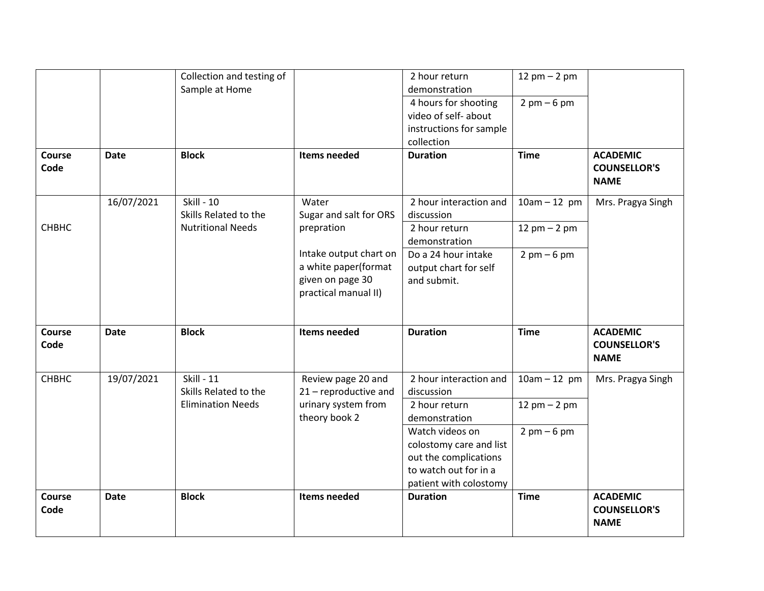|                |             | Collection and testing of<br>Sample at Home       |                                                                                            | 2 hour return<br>demonstration                                                                                                            | 12 pm $-$ 2 pm                               |                                                       |
|----------------|-------------|---------------------------------------------------|--------------------------------------------------------------------------------------------|-------------------------------------------------------------------------------------------------------------------------------------------|----------------------------------------------|-------------------------------------------------------|
|                |             |                                                   |                                                                                            | 4 hours for shooting<br>video of self- about<br>instructions for sample<br>collection                                                     | $2 \text{ pm} - 6 \text{ pm}$                |                                                       |
| Course<br>Code | <b>Date</b> | <b>Block</b>                                      | Items needed                                                                               | <b>Duration</b>                                                                                                                           | <b>Time</b>                                  | <b>ACADEMIC</b><br><b>COUNSELLOR'S</b><br><b>NAME</b> |
|                | 16/07/2021  | <b>Skill - 10</b><br>Skills Related to the        | Water<br>Sugar and salt for ORS                                                            | 2 hour interaction and<br>discussion                                                                                                      | $10am - 12 pm$                               | Mrs. Pragya Singh                                     |
| <b>CHBHC</b>   |             | <b>Nutritional Needs</b>                          | prepration                                                                                 | 2 hour return<br>demonstration                                                                                                            | 12 $pm - 2 pm$                               |                                                       |
|                |             |                                                   | Intake output chart on<br>a white paper(format<br>given on page 30<br>practical manual II) | Do a 24 hour intake<br>output chart for self<br>and submit.                                                                               | $2 \text{ pm} - 6 \text{ pm}$                |                                                       |
|                |             |                                                   |                                                                                            |                                                                                                                                           |                                              |                                                       |
| Course<br>Code | <b>Date</b> | <b>Block</b>                                      | Items needed                                                                               | <b>Duration</b>                                                                                                                           | <b>Time</b>                                  | <b>ACADEMIC</b><br><b>COUNSELLOR'S</b><br><b>NAME</b> |
| <b>CHBHC</b>   | 19/07/2021  | <b>Skill - 11</b>                                 | Review page 20 and                                                                         | 2 hour interaction and                                                                                                                    | $10am - 12 pm$                               | Mrs. Pragya Singh                                     |
|                |             | Skills Related to the<br><b>Elimination Needs</b> | 21 - reproductive and<br>urinary system from<br>theory book 2                              | discussion<br>2 hour return<br>demonstration                                                                                              | $12$ pm $- 2$ pm                             |                                                       |
| Course         |             | <b>Block</b>                                      | <b>Items needed</b>                                                                        | Watch videos on<br>colostomy care and list<br>out the complications<br>to watch out for in a<br>patient with colostomy<br><b>Duration</b> | $2 \text{ pm} - 6 \text{ pm}$<br><b>Time</b> | <b>ACADEMIC</b>                                       |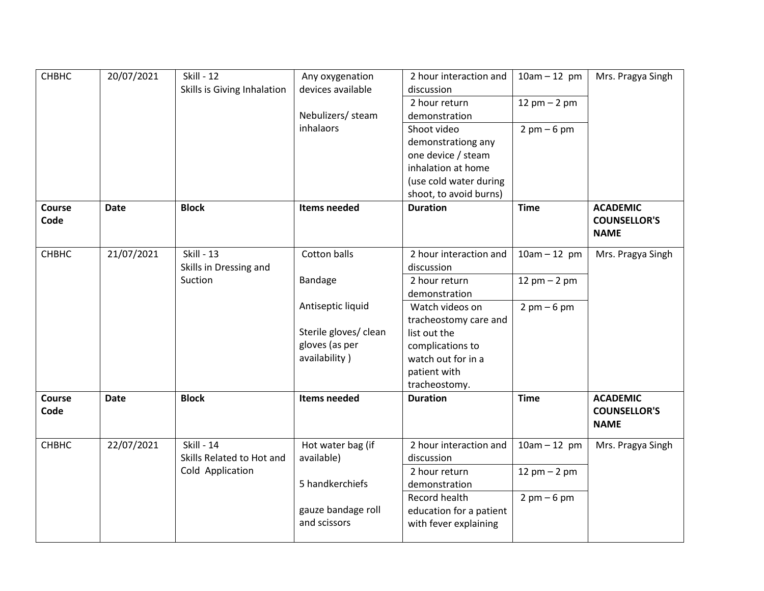| СНВНС          | 20/07/2021  | <b>Skill - 12</b><br>Skills is Giving Inhalation | Any oxygenation<br>devices available | 2 hour interaction and<br>discussion | $10am - 12 pm$                | Mrs. Pragya Singh                                     |
|----------------|-------------|--------------------------------------------------|--------------------------------------|--------------------------------------|-------------------------------|-------------------------------------------------------|
|                |             |                                                  |                                      | 2 hour return                        | 12 pm $-$ 2 pm                |                                                       |
|                |             |                                                  | Nebulizers/ steam                    | demonstration                        |                               |                                                       |
|                |             |                                                  | <b>inhalaors</b>                     | Shoot video                          | $2 \text{ pm} - 6 \text{ pm}$ |                                                       |
|                |             |                                                  |                                      | demonstrationg any                   |                               |                                                       |
|                |             |                                                  |                                      | one device / steam                   |                               |                                                       |
|                |             |                                                  |                                      | inhalation at home                   |                               |                                                       |
|                |             |                                                  |                                      | (use cold water during               |                               |                                                       |
|                |             |                                                  |                                      | shoot, to avoid burns)               |                               |                                                       |
| Course         | <b>Date</b> | <b>Block</b>                                     | Items needed                         | <b>Duration</b>                      | <b>Time</b>                   | <b>ACADEMIC</b>                                       |
| Code           |             |                                                  |                                      |                                      |                               | <b>COUNSELLOR'S</b>                                   |
|                |             |                                                  |                                      |                                      |                               | <b>NAME</b>                                           |
| <b>CHBHC</b>   | 21/07/2021  | <b>Skill - 13</b>                                | Cotton balls                         | 2 hour interaction and               | $10am - 12 pm$                | Mrs. Pragya Singh                                     |
|                |             | Skills in Dressing and                           |                                      | discussion                           |                               |                                                       |
|                |             | Suction                                          | <b>Bandage</b>                       | 2 hour return                        | 12 pm $-$ 2 pm                |                                                       |
|                |             |                                                  |                                      | demonstration                        |                               |                                                       |
|                |             |                                                  | Antiseptic liquid                    | Watch videos on                      | $2 \text{ pm} - 6 \text{ pm}$ |                                                       |
|                |             |                                                  |                                      | tracheostomy care and                |                               |                                                       |
|                |             |                                                  | Sterile gloves/ clean                | list out the                         |                               |                                                       |
|                |             |                                                  | gloves (as per                       | complications to                     |                               |                                                       |
|                |             |                                                  | availability)                        | watch out for in a                   |                               |                                                       |
|                |             |                                                  |                                      | patient with                         |                               |                                                       |
|                |             |                                                  |                                      | tracheostomy.                        |                               |                                                       |
| Course<br>Code | <b>Date</b> | <b>Block</b>                                     | Items needed                         | <b>Duration</b>                      | <b>Time</b>                   | <b>ACADEMIC</b><br><b>COUNSELLOR'S</b><br><b>NAME</b> |
| <b>CHBHC</b>   | 22/07/2021  | <b>Skill - 14</b>                                | Hot water bag (if                    | 2 hour interaction and               | $10am - 12 pm$                | Mrs. Pragya Singh                                     |
|                |             | Skills Related to Hot and                        | available)                           | discussion                           |                               |                                                       |
|                |             | Cold Application                                 |                                      | 2 hour return                        | 12 pm $-$ 2 pm                |                                                       |
|                |             |                                                  | 5 handkerchiefs                      | demonstration                        |                               |                                                       |
|                |             |                                                  |                                      | Record health                        | $2 \text{ pm} - 6 \text{ pm}$ |                                                       |
|                |             |                                                  | gauze bandage roll                   | education for a patient              |                               |                                                       |
|                |             |                                                  | and scissors                         | with fever explaining                |                               |                                                       |
|                |             |                                                  |                                      |                                      |                               |                                                       |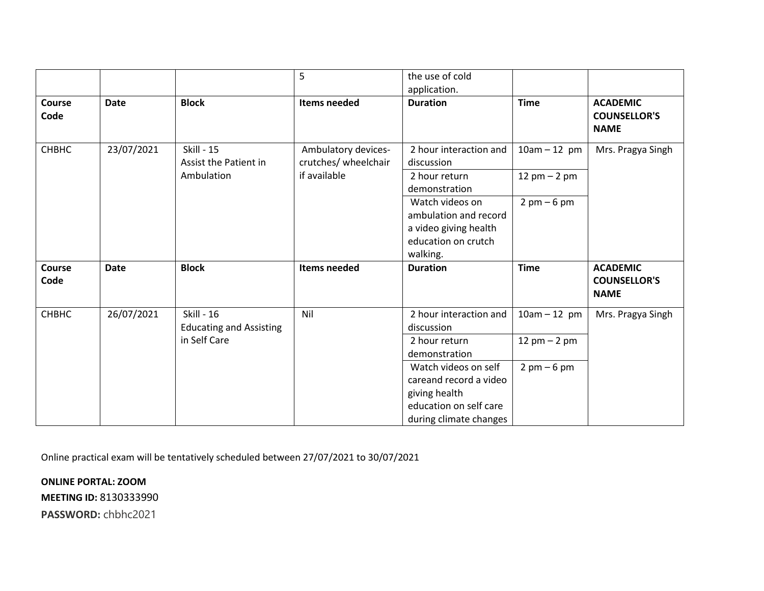|                       |             |                                                     | 5                                           | the use of cold<br>application.                                                                                     |                               |                                                       |
|-----------------------|-------------|-----------------------------------------------------|---------------------------------------------|---------------------------------------------------------------------------------------------------------------------|-------------------------------|-------------------------------------------------------|
| <b>Course</b><br>Code | <b>Date</b> | <b>Block</b>                                        | Items needed                                | <b>Duration</b>                                                                                                     | <b>Time</b>                   | <b>ACADEMIC</b><br><b>COUNSELLOR'S</b><br><b>NAME</b> |
| СНВНС                 | 23/07/2021  | <b>Skill - 15</b><br>Assist the Patient in          | Ambulatory devices-<br>crutches/ wheelchair | 2 hour interaction and<br>discussion                                                                                | $10am - 12 pm$                | Mrs. Pragya Singh                                     |
|                       |             | Ambulation                                          | if available                                | 2 hour return<br>demonstration                                                                                      | 12 $pm - 2 pm$                |                                                       |
|                       |             |                                                     |                                             | Watch videos on<br>ambulation and record<br>a video giving health<br>education on crutch<br>walking.                | $2 \text{ pm} - 6 \text{ pm}$ |                                                       |
| <b>Course</b><br>Code | <b>Date</b> | <b>Block</b>                                        | Items needed                                | <b>Duration</b>                                                                                                     | <b>Time</b>                   | <b>ACADEMIC</b><br><b>COUNSELLOR'S</b><br><b>NAME</b> |
| СНВНС                 | 26/07/2021  | <b>Skill - 16</b><br><b>Educating and Assisting</b> | Nil                                         | 2 hour interaction and<br>discussion                                                                                | $10am - 12 pm$                | Mrs. Pragya Singh                                     |
|                       |             | in Self Care                                        |                                             | 2 hour return<br>demonstration                                                                                      | 12 $pm - 2 pm$                |                                                       |
|                       |             |                                                     |                                             | Watch videos on self<br>careand record a video<br>giving health<br>education on self care<br>during climate changes | $2 \text{ pm} - 6 \text{ pm}$ |                                                       |

Online practical exam will be tentatively scheduled between 27/07/2021 to 30/07/2021

**ONLINE PORTAL: ZOOM MEETING ID:** 8130333990

**PASSWORD:** chbhc2021